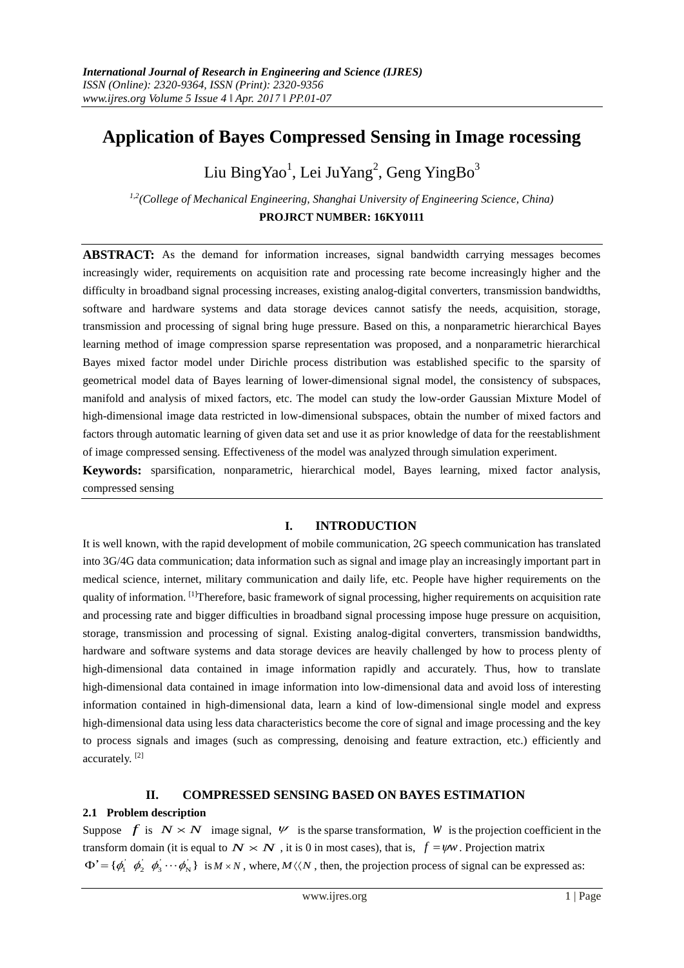# **Application of Bayes Compressed Sensing in Image rocessing**

Liu BingYao<sup>1</sup>, Lei JuYang<sup>2</sup>, Geng YingBo<sup>3</sup>

*1,2(College of Mechanical Engineering, Shanghai University of Engineering Science, China)* **PROJRCT NUMBER: 16KY0111**

**ABSTRACT:** As the demand for information increases, signal bandwidth carrying messages becomes increasingly wider, requirements on acquisition rate and processing rate become increasingly higher and the difficulty in broadband signal processing increases, existing analog-digital converters, transmission bandwidths, software and hardware systems and data storage devices cannot satisfy the needs, acquisition, storage, transmission and processing of signal bring huge pressure. Based on this, a nonparametric hierarchical Bayes learning method of image compression sparse representation was proposed, and a nonparametric hierarchical Bayes mixed factor model under Dirichle process distribution was established specific to the sparsity of geometrical model data of Bayes learning of lower-dimensional signal model, the consistency of subspaces, manifold and analysis of mixed factors, etc. The model can study the low-order Gaussian Mixture Model of high-dimensional image data restricted in low-dimensional subspaces, obtain the number of mixed factors and factors through automatic learning of given data set and use it as prior knowledge of data for the reestablishment of image compressed sensing. Effectiveness of the model was analyzed through simulation experiment.

**Keywords:** sparsification, nonparametric, hierarchical model, Bayes learning, mixed factor analysis, compressed sensing

## **I. INTRODUCTION**

It is well known, with the rapid development of mobile communication, 2G speech communication has translated into 3G/4G data communication; data information such as signal and image play an increasingly important part in medical science, internet, military communication and daily life, etc. People have higher requirements on the quality of information. <sup>[1]</sup>Therefore, basic framework of signal processing, higher requirements on acquisition rate and processing rate and bigger difficulties in broadband signal processing impose huge pressure on acquisition, storage, transmission and processing of signal. Existing analog-digital converters, transmission bandwidths, hardware and software systems and data storage devices are heavily challenged by how to process plenty of high-dimensional data contained in image information rapidly and accurately. Thus, how to translate high-dimensional data contained in image information into low-dimensional data and avoid loss of interesting information contained in high-dimensional data, learn a kind of low-dimensional single model and express high-dimensional data using less data characteristics become the core of signal and image processing and the key to process signals and images (such as compressing, denoising and feature extraction, etc.) efficiently and accurately. [2]

## **II. COMPRESSED SENSING BASED ON BAYES ESTIMATION**

# **2.1 Problem description**

Suppose  $f$  is  $N \times N$  image signal,  $W$  is the sparse transformation, W is the projection coefficient in the transform domain (it is equal to  $N \times N$ , it is 0 in most cases), that is,  $f = \psi w$ . Projection matrix  $\Phi' = {\phi'_1 \phi'_2 \phi'_3 \cdots \phi'_N}$  is  $M \times N$ , where,  $M \langle N \rangle$ , then, the projection process of signal can be expressed as: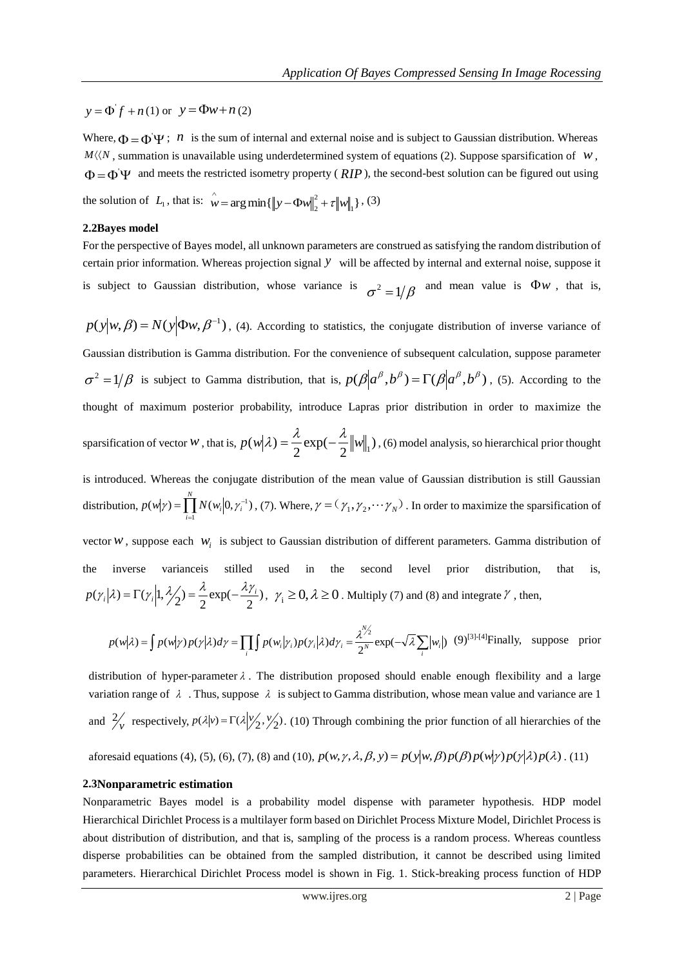$y = \Phi' f + n(1)$  or  $y = \Phi w + n(2)$ 

Where,  $\Phi = \Phi \Psi$ ; *n* is the sum of internal and external noise and is subject to Gaussian distribution. Whereas  $M\langle N\rangle$ , summation is unavailable using underdetermined system of equations (2). Suppose sparsification of  $W$ ,  $\Phi = \Phi \Psi$  and meets the restricted isometry property (*RIP*), the second-best solution can be figured out using

the solution of  $L_1$ , that is:  $w = \arg \min \{ ||y - \Phi w||_2^2 + \tau ||w||_1 \}$ 2  $\hat{w} = \arg \min \{ ||y - \Phi w||_2^2 + \tau ||w||_1 \}$ , (3)

#### **2.2Bayes model**

For the perspective of Bayes model, all unknown parameters are construed as satisfying the random distribution of certain prior information. Whereas projection signal *y* will be affected by internal and external noise, suppose it is subject to Gaussian distribution, whose variance is  $\sigma^2 = 1/\beta$  and mean value is  $\Phi w$ , that is,

 $p(y|w, \beta) = N(y|\Phi w, \beta^{-1})$ , (4). According to statistics, the conjugate distribution of inverse variance of Gaussian distribution is Gamma distribution. For the convenience of subsequent calculation, suppose parameter  $\sigma^2 = 1/\beta$  is subject to Gamma distribution, that is,  $p(\beta | \alpha^{\beta}, b^{\beta}) = \Gamma(\beta | \alpha^{\beta}, b^{\beta})$ , (5). According to the thought of maximum posterior probability, introduce Lapras prior distribution in order to maximize the sparsification of vector *w*, that is,  $p(w|\lambda) = \frac{\lambda}{2} \exp(-\frac{\lambda}{2} ||w||)$ 2 exp( 2  $p(w|\lambda) = \frac{\lambda}{2} \exp(-\frac{\lambda}{2} ||w||_1)$ , (6) model analysis, so hierarchical prior thought is introduced. Whereas the conjugate distribution of the mean value of Gaussian distribution is still Gaussian distribution,  $p(w|\gamma) = \prod_{i=1}^{N} N(w_i|0, \gamma_i^{-1})$  $p(w|\gamma) = \prod_{i=1}^{n} N(w_i|0, \gamma_i)$  $(w|\gamma) = \prod N(w_i|0, \gamma_i^{-1})$ , (7). Where,  $\gamma = (\gamma_1, \gamma_2, \cdots \gamma_N)$ . In order to maximize the sparsification of vector  $W$ , suppose each  $W_i$  is subject to Gaussian distribution of different parameters. Gamma distribution of the inverse varianceis stilled used in the second level prior distribution, that is,

$$
p(\gamma_i|\lambda) = \Gamma(\gamma_i|1, \frac{\lambda}{2}) = \frac{\lambda}{2} \exp(-\frac{\lambda \gamma_i}{2}), \ \gamma_i \ge 0, \lambda \ge 0.
$$
 Multiply (7) and (8) and integrate  $\gamma$ , then,

$$
p(w|\lambda) = \int p(w|\gamma)p(\gamma|\lambda)d\gamma = \prod_{i} \int p(w_i|\gamma_i)p(\gamma_i|\lambda)d\gamma_i = \frac{\lambda^{\frac{N}{2}}}{2^N} \exp(-\sqrt{\lambda}\sum_{i} |w_i|) \tag{9}^{[3]-[4]} \text{Finally, suppose prior}
$$

distribution of hyper-parameter  $\lambda$ . The distribution proposed should enable enough flexibility and a large variation range of  $\lambda$ . Thus, suppose  $\lambda$  is subject to Gamma distribution, whose mean value and variance are 1 and  $\frac{2}{v}$  respectively,  $p(\lambda|v) = \Gamma(\lambda|y_2', y_2')$ . (10) Through combining the prior function of all hierarchies of the

aforesaid equations (4), (5), (6), (7), (8) and (10),  $p(w, \gamma, \lambda, \beta, y) = p(y|w, \beta)p(\beta)p(w|\gamma)p(\gamma|\lambda)p(\lambda)$ . (11)

#### **2.3Nonparametric estimation**

Nonparametric Bayes model is a probability model dispense with parameter hypothesis. HDP model Hierarchical Dirichlet Process is a multilayer form based on Dirichlet Process Mixture Model, Dirichlet Process is about distribution of distribution, and that is, sampling of the process is a random process. Whereas countless disperse probabilities can be obtained from the sampled distribution, it cannot be described using limited parameters. Hierarchical Dirichlet Process model is shown in Fig. 1. Stick-breaking process function of HDP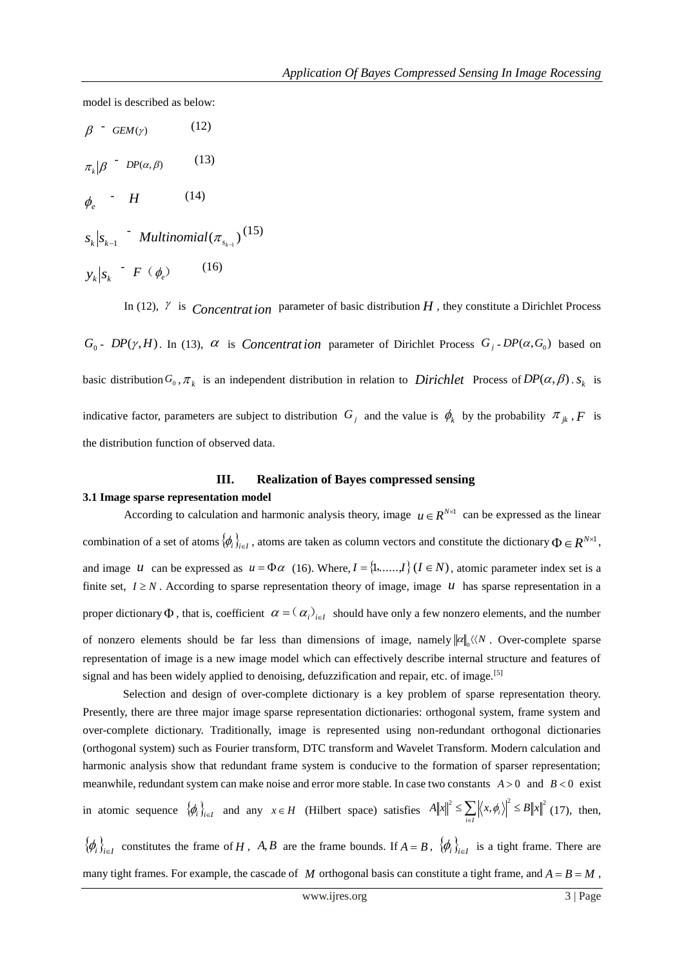model is described as below:

$$
\beta = GEM(\gamma) \qquad (12)
$$
\n
$$
\pi_k | \beta = DP(\alpha, \beta) \qquad (13)
$$
\n
$$
\phi_e = H \qquad (14)
$$
\n
$$
s_k | s_{k-1} = Multinomial(\pi_{s_{k-1}}) \qquad (15)
$$

(15)

In (12),  $\gamma$  is *Concentration* parameter of basic distribution *H*, they constitute a Dirichlet Process

 $G_0$  -  $DP(\gamma, H)$ . In (13),  $\alpha$  is *Concentration* parameter of Dirichlet Process  $G_j$ - $DP(\alpha, G_0)$  based on basic distribution  $G_0$ ,  $\pi_k$  is an independent distribution in relation to *Dirichlet* Process of  $DP(\alpha, \beta)$ .  $s_k$  is indicative factor, parameters are subject to distribution  $G_j$  and the value is  $\phi_k$  by the probability  $\pi_{jk}$ ,  $F$  is the distribution function of observed data.

# **III. Realization of Bayes compressed sensing**

#### **3.1 Image sparse representation model**

According to calculation and harmonic analysis theory, image  $u \in R^{N \times 1}$  can be expressed as the linear combination of a set of atoms  $\{\phi_i\}_{i \in I}$ , atoms are taken as column vectors and constitute the dictionary  $\Phi \in R^{N \times 1}$ , and image  $u$  can be expressed as  $u = \Phi \alpha$  (16). Where,  $I = \{1, \ldots, I\}$  ( $I \in N$ ), atomic parameter index set is a finite set,  $I \ge N$ . According to sparse representation theory of image, image  $U$  has sparse representation in a proper dictionary  $\Phi$ , that is, coefficient  $\alpha = (\alpha_i)_{i \in I}$  should have only a few nonzero elements, and the number of nonzero elements should be far less than dimensions of image, namely  $\|\alpha\|_0 \langle\langle N \rangle$ . Over-complete sparse representation of image is a new image model which can effectively describe internal structure and features of signal and has been widely applied to denoising, defuzzification and repair, etc. of image.<sup>[5]</sup>

 Selection and design of over-complete dictionary is a key problem of sparse representation theory. Presently, there are three major image sparse representation dictionaries: orthogonal system, frame system and over-complete dictionary. Traditionally, image is represented using non-redundant orthogonal dictionaries (orthogonal system) such as Fourier transform, DTC transform and Wavelet Transform. Modern calculation and harmonic analysis show that redundant frame system is conducive to the formation of sparser representation; meanwhile, redundant system can make noise and error more stable. In case two constants  $A > 0$  and  $B < 0$  exist in atomic sequence  $\{\phi_i\}_{i \in I}$  and any  $x \in H$  (Hilbert space) satisfies  $A||x||^2 \le \sum_i |\langle x, \phi_i \rangle|^2 \le B||x||^2$  $\leq \sum_{i\in I}\left|\left\langle x,\phi_i\right\rangle\right|^2\leq$  $\left|\phi_i\right| \leq B \|x\|$  (17), then,  $\{\phi_i\}_{i\in I}$  constitutes the frame of *H*, *A*,*B* are the frame bounds. If  $A = B$ ,  $\{\phi_i\}_{i\in I}$  is a tight frame. There are

many tight frames. For example, the cascade of M orthogonal basis can constitute a tight frame, and  $A = B = M$ ,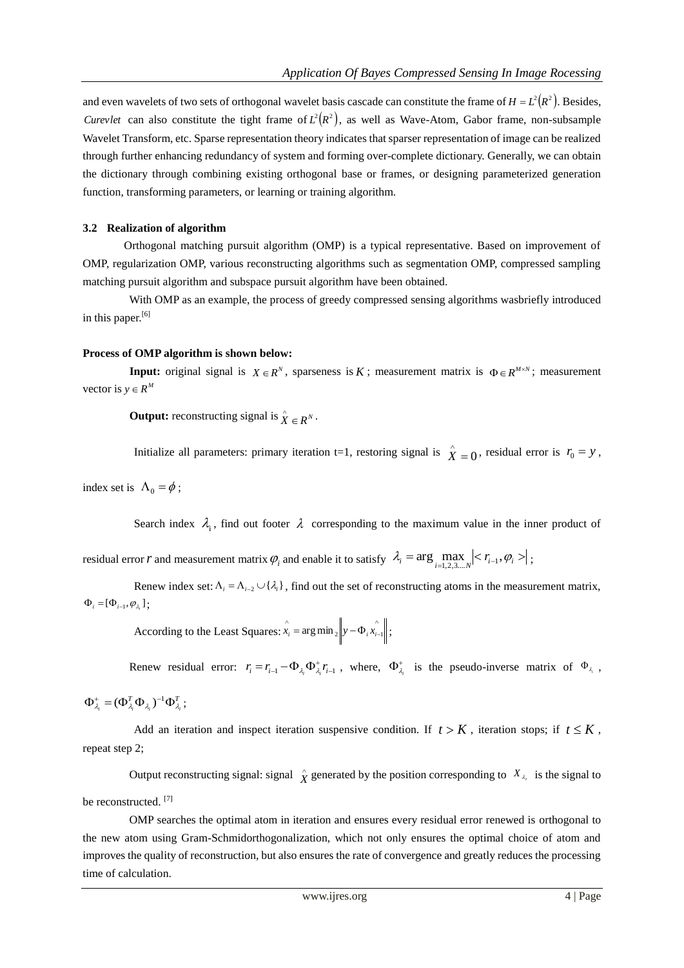and even wavelets of two sets of orthogonal wavelet basis cascade can constitute the frame of  $H = L^2(R^2)$ . Besides, *Curevlet* can also constitute the tight frame of  $L^2(R^2)$ , as well as Wave-Atom, Gabor frame, non-subsample Wavelet Transform, etc. Sparse representation theory indicates that sparser representation of image can be realized through further enhancing redundancy of system and forming over-complete dictionary. Generally, we can obtain the dictionary through combining existing orthogonal base or frames, or designing parameterized generation function, transforming parameters, or learning or training algorithm.

#### **3.2 Realization of algorithm**

Orthogonal matching pursuit algorithm (OMP) is a typical representative. Based on improvement of OMP, regularization OMP, various reconstructing algorithms such as segmentation OMP, compressed sampling matching pursuit algorithm and subspace pursuit algorithm have been obtained.

With OMP as an example, the process of greedy compressed sensing algorithms wasbriefly introduced in this paper.<sup>[6]</sup>

#### **Process of OMP algorithm is shown below:**

**Input:** original signal is  $X \in \mathbb{R}^N$ , sparseness is K; measurement matrix is  $\Phi \in \mathbb{R}^{M \times N}$ ; measurement vector is  $y \in R^M$ 

**Output:** reconstructing signal is  $\hat{X} \in R^N$ .

Initialize all parameters: primary iteration t=1, restoring signal is  $\hat{X} = 0$ , residual error is  $r_0 = y$ ,

index set is  $\Lambda_0 = \phi$ ;

Search index  $\lambda_i$ , find out footer  $\lambda$  corresponding to the maximum value in the inner product of

residual error *r* and measurement matrix  $\varphi_i$  and enable it to satisfy  $\lambda_i = \arg \max_{i=1,2,3,\dots,N} \left| \langle r_{i-1}, \varphi_i \rangle \right|$ ;

Renew index set:  $\Lambda_i = \Lambda_{i-2} \cup \{\lambda_i\}$ , find out the set of reconstructing atoms in the measurement matrix,  $\Phi_i = [\Phi_{i-1}, \varphi_{\lambda_i}];$ 

> According to the Least Squares:  $\hat{x}_i = \arg \min_2 |y - \Phi_i \hat{x}_i|$ .  $\hat{x}_i = \arg \min_2 \left\| y - \Phi_i \hat{x}_{i-1} \right\|;$

Renew residual error:  $r_i = r_{i-1} - \Phi_{\lambda_i} \Phi_{\lambda_i}^{\dagger} r_{i-1}$ , where,  $\Phi_{\lambda_i}^{\dagger}$  is the pseudo-inverse matrix of  $\Phi_{\lambda_i}$ ,

$$
\Phi_{\lambda_i}^+ = (\Phi_{\lambda_i}^T \Phi_{\lambda_i})^{-1} \Phi_{\lambda_i}^T ;
$$

Add an iteration and inspect iteration suspensive condition. If  $t > K$ , iteration stops; if  $t \leq K$ , repeat step 2;

Output reconstructing signal: signal  $\hat{X}$  generated by the position corresponding to  $X_{\lambda_i}$  is the signal to

be reconstructed.<sup>[7]</sup>

OMP searches the optimal atom in iteration and ensures every residual error renewed is orthogonal to the new atom using Gram-Schmidorthogonalization, which not only ensures the optimal choice of atom and improves the quality of reconstruction, but also ensures the rate of convergence and greatly reduces the processing time of calculation.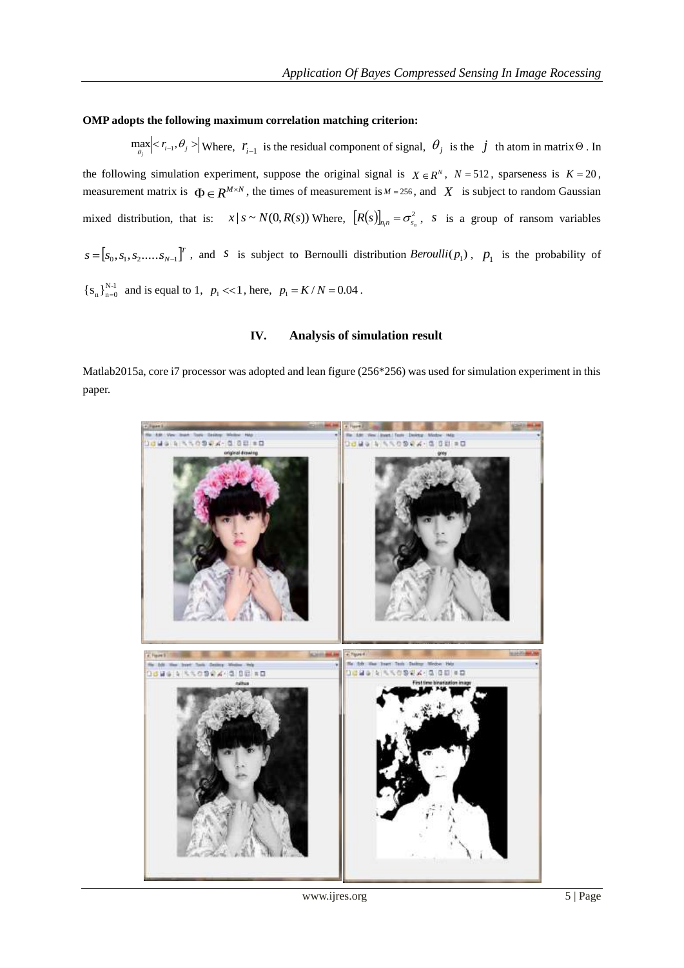## **OMP adopts the following maximum correlation matching criterion:**

 $\max_{\theta_j}$  |  $r_{i-1}, \theta_j$  > | Where,  $r_{i-1}$  is the residual component of signal,  $\theta_j$  is the *j* th atom in matrix  $\Theta$ . In the following simulation experiment, suppose the original signal is  $X \in \mathbb{R}^N$ ,  $N = 512$ , sparseness is  $K = 20$ , measurement matrix is  $\Phi \in \mathbb{R}^{M \times N}$ , the times of measurement is  $M = 256$ , and  $X$  is subject to random Gaussian mixed distribution, that is:  $x | s \sim N(0, R(s))$  Where,  $[R(s)]_{n,n} = \sigma_{s_n}^2$ , *s* is a group of ransom variables  $[s_0, s_1, s_2, \ldots, s_{N-1}]^T$  $s = [s_0, s_1, s_2, \dots, s_{N-1}]^T$ , and *s* is subject to Bernoulli distribution *Beroulli* ( $p_1$ ),  $p_1$  is the probability of  ${S_n}_{n=0}^{N-1}$  and is equal to 1,  $p_1 \ll 1$ , here,  $p_1 = K/N = 0.04$ .

### **IV. Analysis of simulation result**

Matlab2015a, core i7 processor was adopted and lean figure (256\*256) was used for simulation experiment in this paper.



www.ijres.org 5 | Page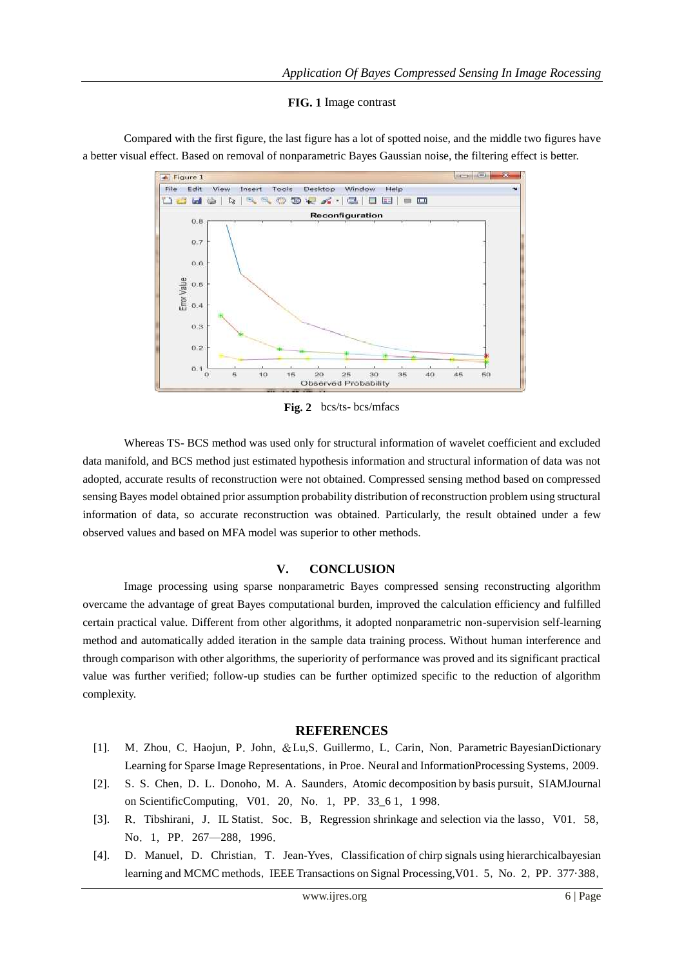#### **FIG. 1** Image contrast



Compared with the first figure, the last figure has a lot of spotted noise, and the middle two figures have a better visual effect. Based on removal of nonparametric Bayes Gaussian noise, the filtering effect is better.

**Fig. 2** bcs/ts- bcs/mfacs

Whereas TS- BCS method was used only for structural information of wavelet coefficient and excluded data manifold, and BCS method just estimated hypothesis information and structural information of data was not adopted, accurate results of reconstruction were not obtained. Compressed sensing method based on compressed sensing Bayes model obtained prior assumption probability distribution of reconstruction problem using structural information of data, so accurate reconstruction was obtained. Particularly, the result obtained under a few observed values and based on MFA model was superior to other methods.

#### **V. CONCLUSION**

Image processing using sparse nonparametric Bayes compressed sensing reconstructing algorithm overcame the advantage of great Bayes computational burden, improved the calculation efficiency and fulfilled certain practical value. Different from other algorithms, it adopted nonparametric non-supervision self-learning method and automatically added iteration in the sample data training process. Without human interference and through comparison with other algorithms, the superiority of performance was proved and its significant practical value was further verified; follow-up studies can be further optimized specific to the reduction of algorithm complexity.

#### **REFERENCES**

- [1]. M.Zhou,C.Haojun,P.John,&Lu,S.Guillermo,L.Carin,Non.Parametric BayesianDictionary Learning for Sparse Image Representations, in Proe. Neural and InformationProcessing Systems, 2009.
- [2]. S. S. Chen, D. L. Donoho, M. A. Saunders, Atomic decomposition by basis pursuit, SIAMJournal on ScientificComputing,V01.20,No.1,PP.33\_6 1,1 998.
- [3]. R. Tibshirani, J. IL Statist. Soc. B, Regression shrinkage and selection via the lasso, V01. 58, No. 1, PP. 267-288, 1996.
- [4]. D.Manuel,D.Christian,T.Jean-Yves,Classification of chirp signals using hierarchicalbayesian learning and MCMC methods, IEEE Transactions on Signal Processing, V01. 5, No. 2, PP. 377·388,